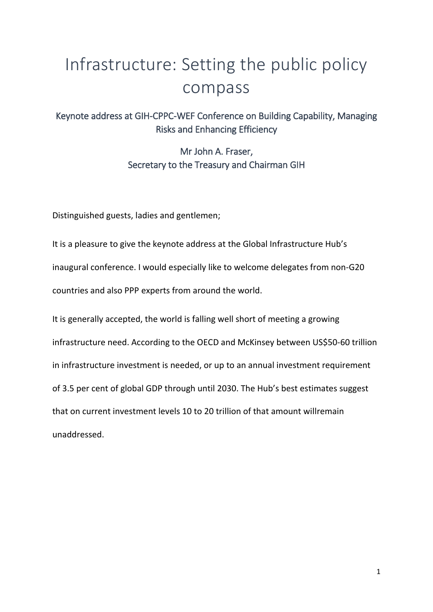# Infrastructure: Setting the public policy compass

Keynote address at GIH-CPPC-WEF Conference on Building Capability, Managing Risks and Enhancing Efficiency

> Mr John A. Fraser, Secretary to the Treasury and Chairman GIH

Distinguished guests, ladies and gentlemen;

It is a pleasure to give the keynote address at the Global Infrastructure Hub's inaugural conference. I would especially like to welcome delegates from non-G20 countries and also PPP experts from around the world.

It is generally accepted, the world is falling well short of meeting a growing infrastructure need. According to the OECD and McKinsey between US\$50-60 trillion in infrastructure investment is needed, or up to an annual investment requirement of 3.5 per cent of global GDP through until 2030. The Hub's best estimates suggest that on current investment levels 10 to 20 trillion of that amount willremain unaddressed.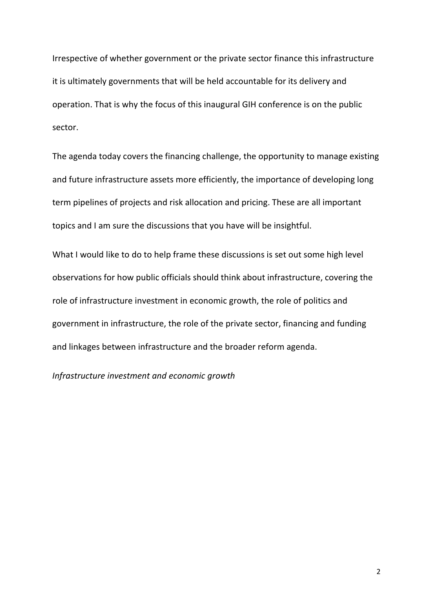Irrespective of whether government or the private sector finance this infrastructure it is ultimately governments that will be held accountable for its delivery and operation. That is why the focus of this inaugural GIH conference is on the public sector.

The agenda today covers the financing challenge, the opportunity to manage existing and future infrastructure assets more efficiently, the importance of developing long term pipelines of projects and risk allocation and pricing. These are all important topics and I am sure the discussions that you have will be insightful.

What I would like to do to help frame these discussions is set out some high level observations for how public officials should think about infrastructure, covering the role of infrastructure investment in economic growth, the role of politics and government in infrastructure, the role of the private sector, financing and funding and linkages between infrastructure and the broader reform agenda.

*Infrastructure investment and economic growth*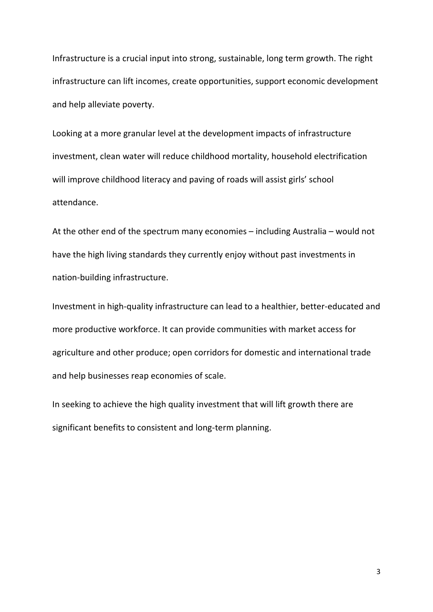Infrastructure is a crucial input into strong, sustainable, long term growth. The right infrastructure can lift incomes, create opportunities, support economic development and help alleviate poverty.

Looking at a more granular level at the development impacts of infrastructure investment, clean water will reduce childhood mortality, household electrification will improve childhood literacy and paving of roads will assist girls' school attendance.

At the other end of the spectrum many economies – including Australia – would not have the high living standards they currently enjoy without past investments in nation-building infrastructure.

Investment in high-quality infrastructure can lead to a healthier, better-educated and more productive workforce. It can provide communities with market access for agriculture and other produce; open corridors for domestic and international trade and help businesses reap economies of scale.

In seeking to achieve the high quality investment that will lift growth there are significant benefits to consistent and long-term planning.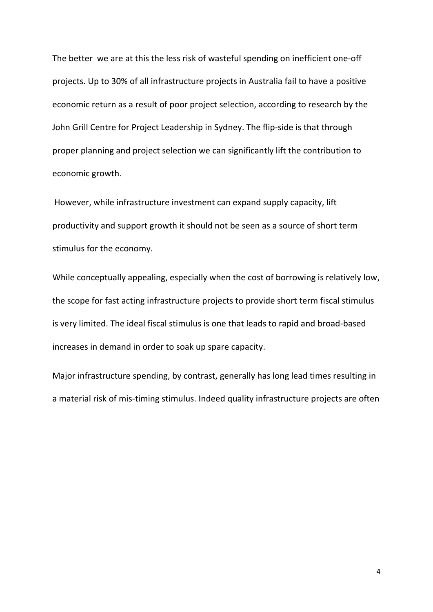The better we are at this the less risk of wasteful spending on inefficient one-off projects. Up to 30% of all infrastructure projects in Australia fail to have a positive economic return as a result of poor project selection, according to research by the John Grill Centre for Project Leadership in Sydney. The flip-side is that through proper planning and project selection we can significantly lift the contribution to economic growth.

However, while infrastructure investment can expand supply capacity, lift productivity and support growth it should not be seen as a source of short term stimulus for the economy.

While conceptually appealing, especially when the cost of borrowing is relatively low, the scope for fast acting infrastructure projects to provide short term fiscal stimulus is very limited. The ideal fiscal stimulus is one that leads to rapid and broad-based increases in demand in order to soak up spare capacity.

Major infrastructure spending, by contrast, generally has long lead times resulting in a material risk of mis-timing stimulus. Indeed quality infrastructure projects are often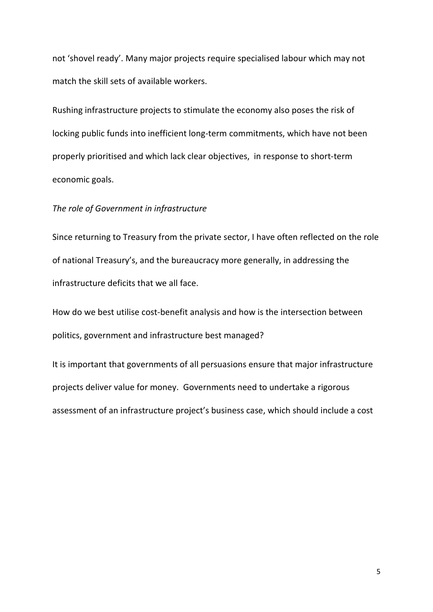not 'shovel ready'. Many major projects require specialised labour which may not match the skill sets of available workers.

Rushing infrastructure projects to stimulate the economy also poses the risk of locking public funds into inefficient long-term commitments, which have not been properly prioritised and which lack clear objectives, in response to short-term economic goals.

#### *The role of Government in infrastructure*

Since returning to Treasury from the private sector, I have often reflected on the role of national Treasury's, and the bureaucracy more generally, in addressing the infrastructure deficits that we all face.

How do we best utilise cost-benefit analysis and how is the intersection between politics, government and infrastructure best managed?

It is important that governments of all persuasions ensure that major infrastructure projects deliver value for money. Governments need to undertake a rigorous assessment of an infrastructure project's business case, which should include a cost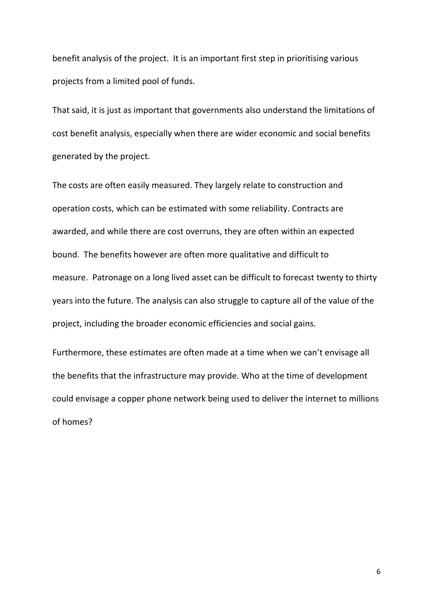benefit analysis of the project. It is an important first step in prioritising various projects from a limited pool of funds.

That said, it is just as important that governments also understand the limitations of cost benefit analysis, especially when there are wider economic and social benefits generated by the project.

The costs are often easily measured. They largely relate to construction and operation costs, which can be estimated with some reliability. Contracts are awarded, and while there are cost overruns, they are often within an expected bound. The benefits however are often more qualitative and difficult to measure. Patronage on a long lived asset can be difficult to forecast twenty to thirty years into the future. The analysis can also struggle to capture all of the value of the project, including the broader economic efficiencies and social gains.

Furthermore, these estimates are often made at a time when we can't envisage all the benefits that the infrastructure may provide. Who at the time of development could envisage a copper phone network being used to deliver the internet to millions of homes?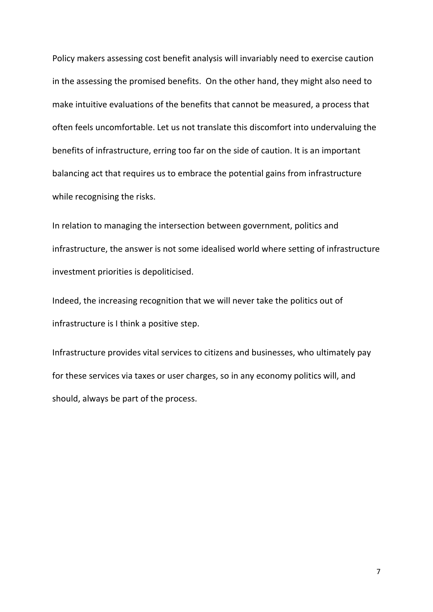Policy makers assessing cost benefit analysis will invariably need to exercise caution in the assessing the promised benefits. On the other hand, they might also need to make intuitive evaluations of the benefits that cannot be measured, a process that often feels uncomfortable. Let us not translate this discomfort into undervaluing the benefits of infrastructure, erring too far on the side of caution. It is an important balancing act that requires us to embrace the potential gains from infrastructure while recognising the risks.

In relation to managing the intersection between government, politics and infrastructure, the answer is not some idealised world where setting of infrastructure investment priorities is depoliticised.

Indeed, the increasing recognition that we will never take the politics out of infrastructure is I think a positive step.

Infrastructure provides vital services to citizens and businesses, who ultimately pay for these services via taxes or user charges, so in any economy politics will, and should, always be part of the process.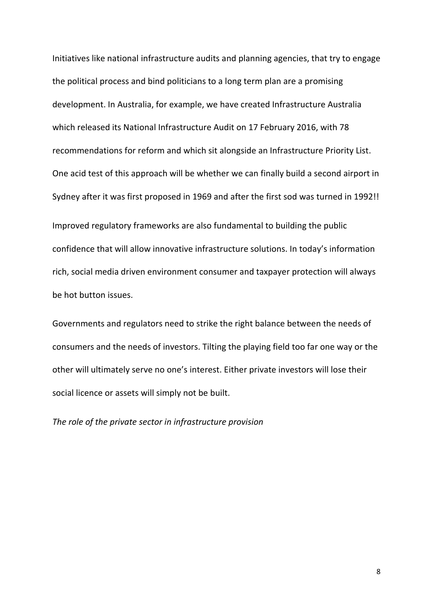Initiatives like national infrastructure audits and planning agencies, that try to engage the political process and bind politicians to a long term plan are a promising development. In Australia, for example, we have created Infrastructure Australia which released its National Infrastructure Audit on 17 February 2016, with 78 recommendations for reform and which sit alongside an Infrastructure Priority List. One acid test of this approach will be whether we can finally build a second airport in Sydney after it was first proposed in 1969 and after the first sod was turned in 1992!! Improved regulatory frameworks are also fundamental to building the public confidence that will allow innovative infrastructure solutions. In today's information rich, social media driven environment consumer and taxpayer protection will always be hot button issues.

Governments and regulators need to strike the right balance between the needs of consumers and the needs of investors. Tilting the playing field too far one way or the other will ultimately serve no one's interest. Either private investors will lose their social licence or assets will simply not be built.

*The role of the private sector in infrastructure provision*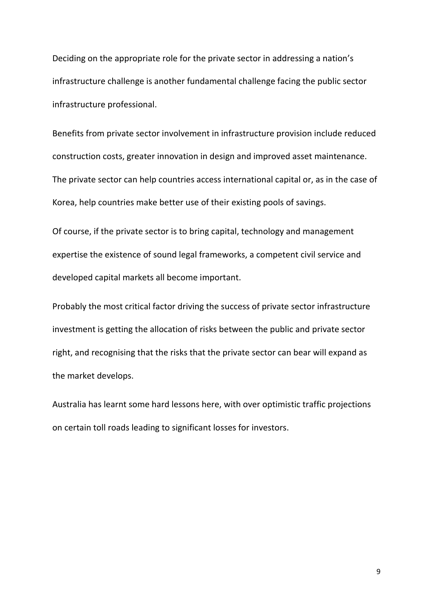Deciding on the appropriate role for the private sector in addressing a nation's infrastructure challenge is another fundamental challenge facing the public sector infrastructure professional.

Benefits from private sector involvement in infrastructure provision include reduced construction costs, greater innovation in design and improved asset maintenance. The private sector can help countries access international capital or, as in the case of Korea, help countries make better use of their existing pools of savings.

Of course, if the private sector is to bring capital, technology and management expertise the existence of sound legal frameworks, a competent civil service and developed capital markets all become important.

Probably the most critical factor driving the success of private sector infrastructure investment is getting the allocation of risks between the public and private sector right, and recognising that the risks that the private sector can bear will expand as the market develops.

Australia has learnt some hard lessons here, with over optimistic traffic projections on certain toll roads leading to significant losses for investors.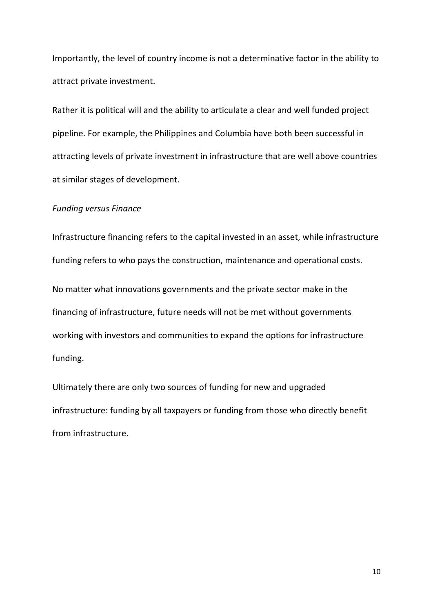Importantly, the level of country income is not a determinative factor in the ability to attract private investment.

Rather it is political will and the ability to articulate a clear and well funded project pipeline. For example, the Philippines and Columbia have both been successful in attracting levels of private investment in infrastructure that are well above countries at similar stages of development.

#### *Funding versus Finance*

Infrastructure financing refers to the capital invested in an asset, while infrastructure funding refers to who pays the construction, maintenance and operational costs. No matter what innovations governments and the private sector make in the financing of infrastructure, future needs will not be met without governments working with investors and communities to expand the options for infrastructure funding.

Ultimately there are only two sources of funding for new and upgraded infrastructure: funding by all taxpayers or funding from those who directly benefit from infrastructure.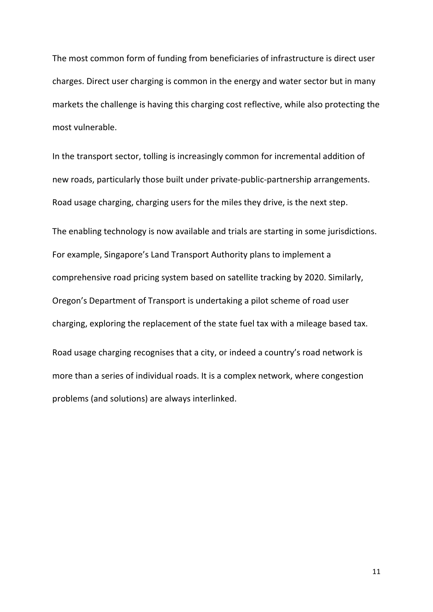The most common form of funding from beneficiaries of infrastructure is direct user charges. Direct user charging is common in the energy and water sector but in many markets the challenge is having this charging cost reflective, while also protecting the most vulnerable.

In the transport sector, tolling is increasingly common for incremental addition of new roads, particularly those built under private-public-partnership arrangements. Road usage charging, charging users for the miles they drive, is the next step.

The enabling technology is now available and trials are starting in some jurisdictions. For example, Singapore's Land Transport Authority plans to implement a comprehensive road pricing system based on satellite tracking by 2020. Similarly, Oregon's Department of Transport is undertaking a pilot scheme of road user charging, exploring the replacement of the state fuel tax with a mileage based tax. Road usage charging recognises that a city, or indeed a country's road network is more than a series of individual roads. It is a complex network, where congestion

problems (and solutions) are always interlinked.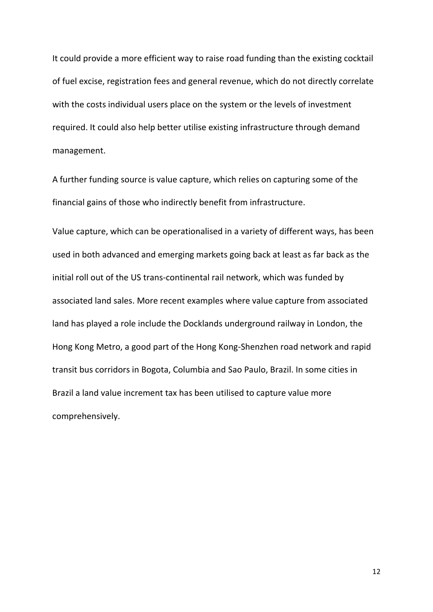It could provide a more efficient way to raise road funding than the existing cocktail of fuel excise, registration fees and general revenue, which do not directly correlate with the costs individual users place on the system or the levels of investment required. It could also help better utilise existing infrastructure through demand management.

A further funding source is value capture, which relies on capturing some of the financial gains of those who indirectly benefit from infrastructure.

Value capture, which can be operationalised in a variety of different ways, has been used in both advanced and emerging markets going back at least as far back as the initial roll out of the US trans-continental rail network, which was funded by associated land sales. More recent examples where value capture from associated land has played a role include the Docklands underground railway in London, the Hong Kong Metro, a good part of the Hong Kong-Shenzhen road network and rapid transit bus corridors in Bogota, Columbia and Sao Paulo, Brazil. In some cities in Brazil a land value increment tax has been utilised to capture value more comprehensively.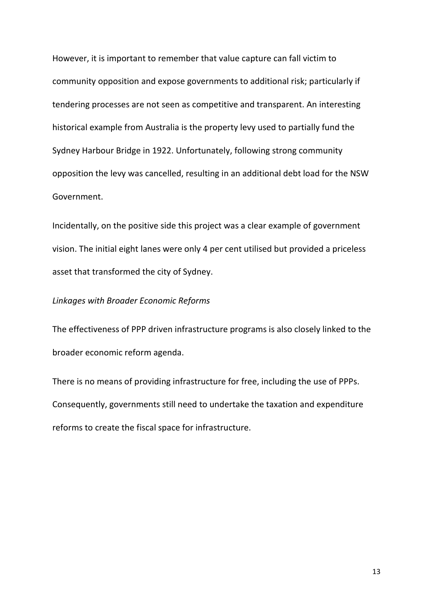However, it is important to remember that value capture can fall victim to community opposition and expose governments to additional risk; particularly if tendering processes are not seen as competitive and transparent. An interesting historical example from Australia is the property levy used to partially fund the Sydney Harbour Bridge in 1922. Unfortunately, following strong community opposition the levy was cancelled, resulting in an additional debt load for the NSW Government.

Incidentally, on the positive side this project was a clear example of government vision. The initial eight lanes were only 4 per cent utilised but provided a priceless asset that transformed the city of Sydney.

## *Linkages with Broader Economic Reforms*

The effectiveness of PPP driven infrastructure programs is also closely linked to the broader economic reform agenda.

There is no means of providing infrastructure for free, including the use of PPPs. Consequently, governments still need to undertake the taxation and expenditure reforms to create the fiscal space for infrastructure.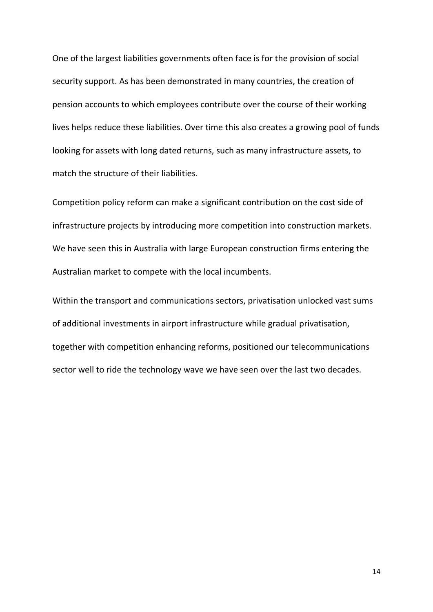One of the largest liabilities governments often face is for the provision of social security support. As has been demonstrated in many countries, the creation of pension accounts to which employees contribute over the course of their working lives helps reduce these liabilities. Over time this also creates a growing pool of funds looking for assets with long dated returns, such as many infrastructure assets, to match the structure of their liabilities.

Competition policy reform can make a significant contribution on the cost side of infrastructure projects by introducing more competition into construction markets. We have seen this in Australia with large European construction firms entering the Australian market to compete with the local incumbents.

Within the transport and communications sectors, privatisation unlocked vast sums of additional investments in airport infrastructure while gradual privatisation, together with competition enhancing reforms, positioned our telecommunications sector well to ride the technology wave we have seen over the last two decades.